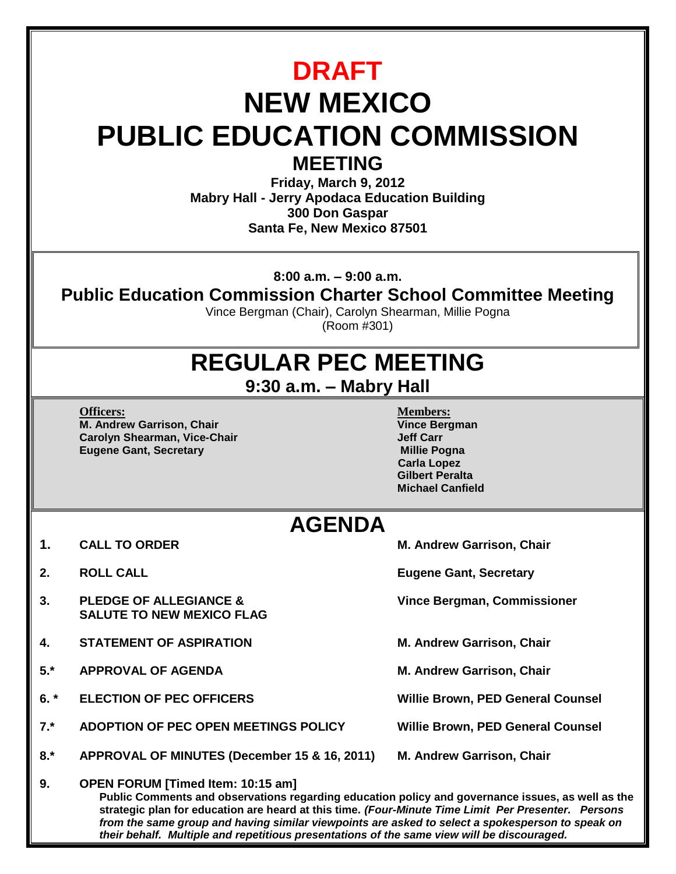| <b>DRAFT</b><br><b>NEW MEXICO</b><br><b>PUBLIC EDUCATION COMMISSION</b><br><b>MEETING</b><br>Friday, March 9, 2012<br><b>Mabry Hall - Jerry Apodaca Education Building</b><br>300 Don Gaspar<br>Santa Fe, New Mexico 87501 |                                                                                                                                                                                                                                                                                                                                                                                                                                                        |                                                                                                                                                               |  |
|----------------------------------------------------------------------------------------------------------------------------------------------------------------------------------------------------------------------------|--------------------------------------------------------------------------------------------------------------------------------------------------------------------------------------------------------------------------------------------------------------------------------------------------------------------------------------------------------------------------------------------------------------------------------------------------------|---------------------------------------------------------------------------------------------------------------------------------------------------------------|--|
| $8:00$ a.m. $-9:00$ a.m.<br><b>Public Education Commission Charter School Committee Meeting</b><br>Vince Bergman (Chair), Carolyn Shearman, Millie Pogna<br>(Room #301)                                                    |                                                                                                                                                                                                                                                                                                                                                                                                                                                        |                                                                                                                                                               |  |
| <b>REGULAR PEC MEETING</b><br>$9:30$ a.m. $-$ Mabry Hall                                                                                                                                                                   |                                                                                                                                                                                                                                                                                                                                                                                                                                                        |                                                                                                                                                               |  |
|                                                                                                                                                                                                                            | <b>Officers:</b><br>M. Andrew Garrison, Chair<br><b>Carolyn Shearman, Vice-Chair</b><br><b>Eugene Gant, Secretary</b>                                                                                                                                                                                                                                                                                                                                  | <b>Members:</b><br><b>Vince Bergman</b><br><b>Jeff Carr</b><br><b>Millie Pogna</b><br><b>Carla Lopez</b><br><b>Gilbert Peralta</b><br><b>Michael Canfield</b> |  |
| <b>AGENDA</b>                                                                                                                                                                                                              |                                                                                                                                                                                                                                                                                                                                                                                                                                                        |                                                                                                                                                               |  |
| 1.                                                                                                                                                                                                                         | <b>CALL TO ORDER</b>                                                                                                                                                                                                                                                                                                                                                                                                                                   | M. Andrew Garrison, Chair                                                                                                                                     |  |
| 2.                                                                                                                                                                                                                         | <b>ROLL CALL</b>                                                                                                                                                                                                                                                                                                                                                                                                                                       | <b>Eugene Gant, Secretary</b>                                                                                                                                 |  |
| 3.                                                                                                                                                                                                                         | <b>PLEDGE OF ALLEGIANCE &amp;</b><br><b>SALUTE TO NEW MEXICO FLAG</b>                                                                                                                                                                                                                                                                                                                                                                                  | <b>Vince Bergman, Commissioner</b>                                                                                                                            |  |
| 4.                                                                                                                                                                                                                         | <b>STATEMENT OF ASPIRATION</b>                                                                                                                                                                                                                                                                                                                                                                                                                         | M. Andrew Garrison, Chair                                                                                                                                     |  |
| $5.*$                                                                                                                                                                                                                      | <b>APPROVAL OF AGENDA</b>                                                                                                                                                                                                                                                                                                                                                                                                                              | M. Andrew Garrison, Chair                                                                                                                                     |  |
| $6. *$                                                                                                                                                                                                                     | <b>ELECTION OF PEC OFFICERS</b>                                                                                                                                                                                                                                                                                                                                                                                                                        | <b>Willie Brown, PED General Counsel</b>                                                                                                                      |  |
| $7.*$                                                                                                                                                                                                                      | ADOPTION OF PEC OPEN MEETINGS POLICY                                                                                                                                                                                                                                                                                                                                                                                                                   | <b>Willie Brown, PED General Counsel</b>                                                                                                                      |  |
| $8.*$                                                                                                                                                                                                                      | APPROVAL OF MINUTES (December 15 & 16, 2011)                                                                                                                                                                                                                                                                                                                                                                                                           | M. Andrew Garrison, Chair                                                                                                                                     |  |
| 9.                                                                                                                                                                                                                         | <b>OPEN FORUM [Timed Item: 10:15 am]</b><br>Public Comments and observations regarding education policy and governance issues, as well as the<br>strategic plan for education are heard at this time. (Four-Minute Time Limit Per Presenter. Persons<br>from the same group and having similar viewpoints are asked to select a spokesperson to speak on<br>their behalf. Multiple and repetitious presentations of the same view will be discouraged. |                                                                                                                                                               |  |